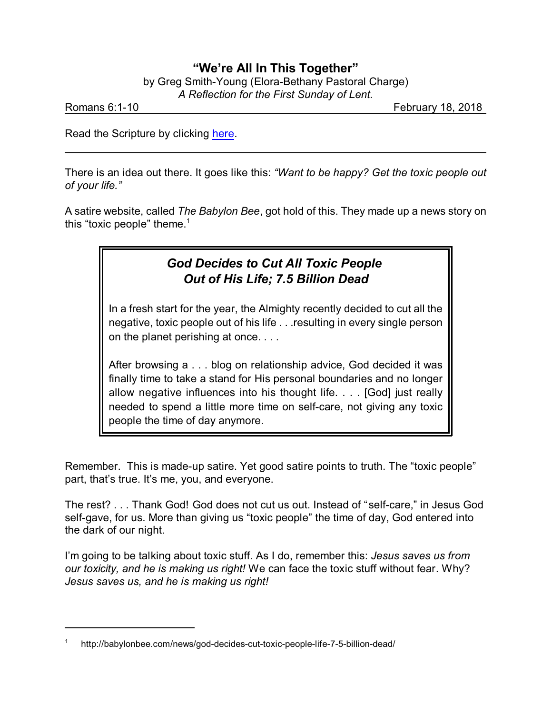## **"We're All In This Together"**

by Greg Smith-Young (Elora-Bethany Pastoral Charge) *A Reflection for the First Sunday of Lent.*

Romans 6:1-10 **February 18, 2018** 

Read the Scripture by clicking [here](https://www.biblegateway.com/passage/?search=Romans+6%3A1-10&version=NRSVA).

There is an idea out there. It goes like this: *"Want to be happy? Get the toxic people out of your life."*

A satire website, called *The Babylon Bee*, got hold of this. They made up a news story on this "toxic people" theme. $<sup>1</sup>$ </sup>

# *God Decides to Cut All Toxic People Out of His Life; 7.5 Billion Dead*

In a fresh start for the year, the Almighty recently decided to cut all the negative, toxic people out of his life . . .resulting in every single person on the planet perishing at once. . . .

After browsing a . . . blog on relationship advice, God decided it was finally time to take a stand for His personal boundaries and no longer allow negative influences into his thought life. . . . [God] just really needed to spend a little more time on self-care, not giving any toxic people the time of day anymore.

Remember. This is made-up satire. Yet good satire points to truth. The "toxic people" part, that's true. It's me, you, and everyone.

The rest? . . . Thank God! God does not cut us out. Instead of "self-care," in Jesus God self-gave, for us. More than giving us "toxic people" the time of day, God entered into the dark of our night.

I'm going to be talking about toxic stuff. As I do, remember this: *Jesus saves us from our toxicity, and he is making us right!* We can face the toxic stuff without fear. Why? *Jesus saves us, and he is making us right!*

<sup>1</sup> http://babylonbee.com/news/god-decides-cut-toxic-people-life-7-5-billion-dead/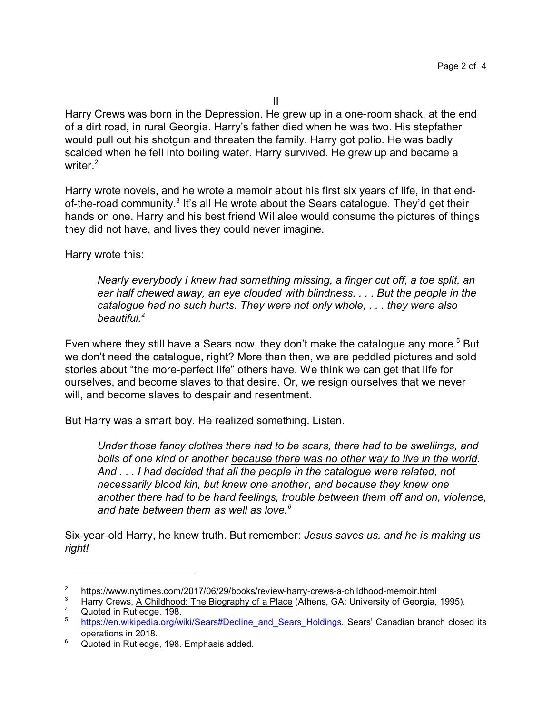Harry Crews was born in the Depression. He grew up in a one-room shack, at the end of a dirt road, in rural Georgia. Harry's father died when he was two. His stepfather would pull out his shotgun and threaten the family. Harry got polio. He was badly scalded when he fell into boiling water. Harry survived. He grew up and became a writer. 2

Harry wrote novels, and he wrote a memoir about his first six years of life, in that endof-the-road community.<sup>3</sup> It's all He wrote about the Sears catalogue. They'd get their hands on one. Harry and his best friend Willalee would consume the pictures of things they did not have, and lives they could never imagine.

Harry wrote this:

*Nearly everybody I knew had something missing, a finger cut off, a toe split, an ear half chewed away, an eye clouded with blindness. . . . But the people in the catalogue had no such hurts. They were not only whole, . . . they were also beautiful.<sup>4</sup>*

Even where they still have a Sears now, they don't make the catalogue any more.<sup>5</sup> But we don't need the catalogue, right? More than then, we are peddled pictures and sold stories about "the more-perfect life" others have. We think we can get that life for ourselves, and become slaves to that desire. Or, we resign ourselves that we never will, and become slaves to despair and resentment.

But Harry was a smart boy. He realized something. Listen.

*Under those fancy clothes there had to be scars, there had to be swellings, and boils of one kind or another because there was no other way to live in the world. And . . . I had decided that all the people in the catalogue were related, not necessarily blood kin, but knew one another, and because they knew one another there had to be hard feelings, trouble between them off and on, violence, and hate between them as well as love.<sup>6</sup>*

Six-year-old Harry, he knew truth. But remember: *Jesus saves us, and he is making us right!*

<sup>&</sup>lt;sup>2</sup> https://www.nytimes.com/2017/06/29/books/review-harry-crews-a-childhood-memoir.html<br><sup>3</sup> Harry Crows, A Childhood: The Biography of a Blase (Athona, CA: University of Coergia

<sup>3</sup> Harry Crews, A Childhood: The Biography of a Place (Athens, GA: University of Georgia, 1995).

 $\frac{4}{5}$  Quoted in Rutledge, 198. [https://en.wikipedia.org/wiki/Sears#Decline\\_and\\_Sears\\_Holdings.](https://en.wikipedia.org/wiki/Sears#Decline_and_Sears_Holdings.) Sears' Canadian branch closed its operations in 2018.

<sup>&</sup>lt;sup>6</sup> Quoted in Rutledge, 198. Emphasis added.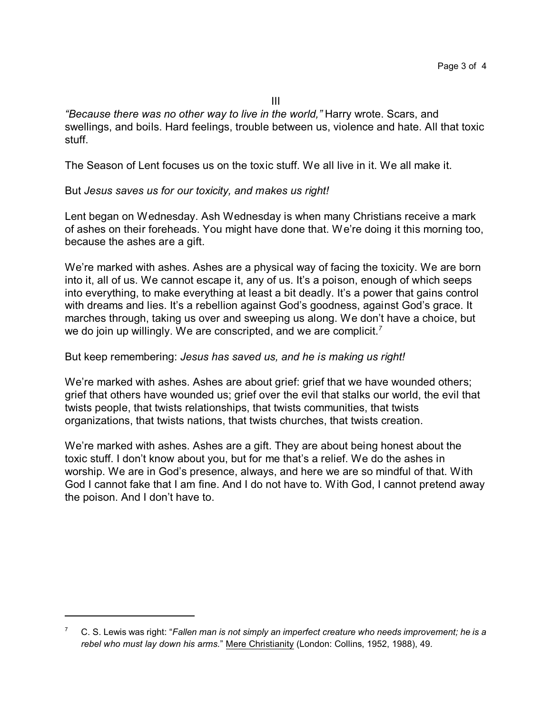*"Because there was no other way to live in the world,"* Harry wrote. Scars, and swellings, and boils. Hard feelings, trouble between us, violence and hate. All that toxic stuff.

The Season of Lent focuses us on the toxic stuff. We all live in it. We all make it.

### But *Jesus saves us for our toxicity, and makes us right!*

Lent began on Wednesday. Ash Wednesday is when many Christians receive a mark of ashes on their foreheads. You might have done that. We're doing it this morning too, because the ashes are a gift.

We're marked with ashes. Ashes are a physical way of facing the toxicity. We are born into it, all of us. We cannot escape it, any of us. It's a poison, enough of which seeps into everything, to make everything at least a bit deadly. It's a power that gains control with dreams and lies. It's a rebellion against God's goodness, against God's grace. It marches through, taking us over and sweeping us along. We don't have a choice, but we do join up willingly. We are conscripted, and we are complicit.*<sup>7</sup>*

### But keep remembering: *Jesus has saved us, and he is making us right!*

We're marked with ashes. Ashes are about grief: grief that we have wounded others; grief that others have wounded us; grief over the evil that stalks our world, the evil that twists people, that twists relationships, that twists communities, that twists organizations, that twists nations, that twists churches, that twists creation.

We're marked with ashes. Ashes are a gift. They are about being honest about the toxic stuff. I don't know about you, but for me that's a relief. We do the ashes in worship. We are in God's presence, always, and here we are so mindful of that. With God I cannot fake that I am fine. And I do not have to. With God, I cannot pretend away the poison. And I don't have to.

<sup>7</sup> C. S. Lewis was right: "*Fallen man is not simply an imperfect creature who needs improvement; he is a rebel who must lay down his arms.*" Mere Christianity (London: Collins, 1952, 1988), 49.